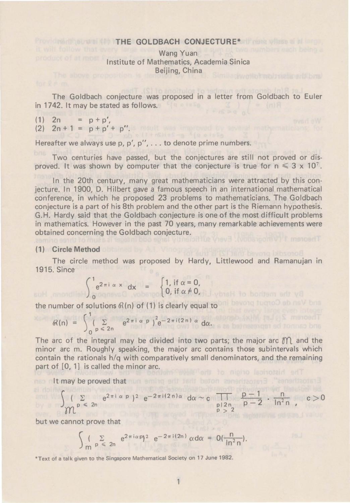## **Provident Northern THE GOLDBACH CONJECTURE\*** If  $\cos \theta$  where  $\sin \theta$

Wang Yuan Institute of Mathematics, Academia Sinica Beijing, China

The Goldbach conjecture was proposed in a letter from Goldbach to Euler in 1742. It may be stated as follows.

 $(1)$  2n =  $p + p'$ ,  $(2)$   $2n + 1 = p + p' + p''$ .

Hereafter we always use p, p', p'', . . . to denote prime numbers.

Two centuries have passed, but the conjectures are still not proved or disproved. It was shown by computer that the conjecture is true for  $n \leq 3 \times 10^{7}$ .

In the 20th century, many great mathematicians were attracted by this conjecture. In 1900, D. Hilbert gave a famous speech in an international mathematical conference, in which he proposed 23 problems to mathematicians. The Goldbach conjecture is a part of his 8th problem and the other part is the Riemann hypothesis. G. H. Hardy said that the Goldbach conjecture is one of the most difficult problems in mathematics. However in the past 70 years, many remarkable achievements were obtained concerning the Goldbach conjecture.

## **(1) Circle Method**

The circle method was proposed by Hardy, Littlewood and Ramanujan in 1915. Since

$$
\int_{0}^{1} e^{2\pi i \alpha x} dx = \begin{cases} 1, & \text{if } \alpha = 0, \\ 0, & \text{if } \alpha \neq 0, \end{cases}
$$

the number of solutions  $\mathcal{R}(n)$  of (1) is clearly equal to

$$
\Re(n) = \int_{0}^{1} \left( \sum_{p \leq 2n} e^{2\pi i \alpha p} \right)^{2} e^{-2\pi i (2n) \alpha} d\alpha.
$$

The arc of the integral may be divided into two parts; the major arc  $\mathcal{M}$  and the minor arc m. Roughly speaking, the major arc contains those subintervals which contain the rationals h/q with comparatively small denominators, and the remaining part of [0, 1] is called the minor arc.

nso nit may be proved that nun emino entruent before considerable. The candidates in

$$
\int_{\mathcal{M}} \sum_{p \leq 2n} e^{2\pi i \alpha p} \, e^{-2\pi i (2n) \alpha} \, d\alpha \sim c \prod_{\substack{p \mid 2n \\ p > 2}} \frac{p-1}{p-2} \cdot \frac{n}{\ln^2 n}, \quad c > 0
$$

but we cannot prove that

$$
\int\limits_{\mathsf{m}}\int\limits_{\mathsf{p}}\sum\limits_{0\leqslant 2n}e^{2\pi i\alpha p}e^{-2\pi i(2n)}\,\alpha\mathrm{d}\alpha\,=\,0(\frac{n}{\ln^2 n}).
$$

\*Text of a talk given to the Singapore Mathematical Society on 17 June 1982.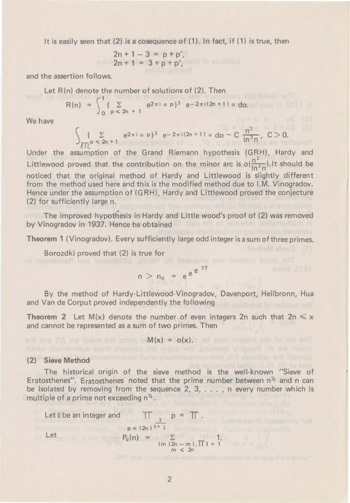It is easily seen that (2) is a cosequence of ( **1).** In fact, if ( **1)** is true, then

$$
2n + 1 - 3 = p + p',
$$
  

$$
2n + 1 = 3 + p + p',
$$

and the assertion follows.

Let  $R(n)$  denote the number of solutions of  $(2)$ . Then

$$
R(n) = \int_0^1 (\sum_{p \leq 2n + 1} e^{2\pi i \alpha p})^3 e^{-2\pi i (2n + 1) \alpha} d\alpha.
$$

We have

$$
\int_{\chi_{\mathcal{D}}} \sum_{\rho \, \leq \, 2n \, + \, 1} e^{2 \pi i \, \alpha \, p \, \beta} \, e^{- \, 2 \pi \, i \, (2n \, + \, 1) \, \alpha} \, d\alpha \sim C \, \frac{n^2}{\ln^3 n}, \, C > 0.
$$

Under the assumption of the Grand Riemann hypothesis (GRH), Hardy and Littlewood proved that the contribution on the minor arc is  $o(\frac{n^2}{\ln^3 n})$ .It should be noticed that the original method of Hardy and Littlewood is slightly different from the method used here and this is the modified method due to I.M. Vinogradov. Hence under the assumption of (GRH), Hardy and Littlewood proved the conjecture (2) for sufficiently large n.

The improved hypothesis in Hardy and Little wood's proof of (2) was removed by Vinogradov in 1937. Hence he obtained

**Theorem 1** (Vinogradov). Every sufficiently large odd integer is a sum of three primes.

Borozdki proved that (2) is true for

$$
n > n_0 = e^{e^{e^{1}}}
$$

By the method of Hardy-Littlewood-Vinogradov, Davenport, Heilbronn, Hua and Van de Corput proved independently the following

**Theorem 2** Let M(x) denote the number of even integers 2n such that  $2n \le x$ and cannot be represented as a sum of two primes. Then

$$
M(x) = o(x).
$$

## (2) Sieve Method anotanimonab Illiama viewitategmob riting phil alengitian entry niamob

The historical origin of the sieve method is the well-known "Sieve of Eratosthenes". Eratosthenes noted that the prime number between  $n^2$  and n can be isolated by removing from the sequence 2, 3, ... , n every number which is multiple of a prime not exceeding  $n^{\frac{1}{2}}$ .

Let 
$$
\ell
$$
 be an integer and  
\n
$$
p \le (2n)^{\frac{1}{\ell+1}}
$$
\nLet  
\n
$$
P_{\ell}(n) = \sum_{\substack{(m (2n-m), \Pi) = 1 \\ m \le 2n}} 1.
$$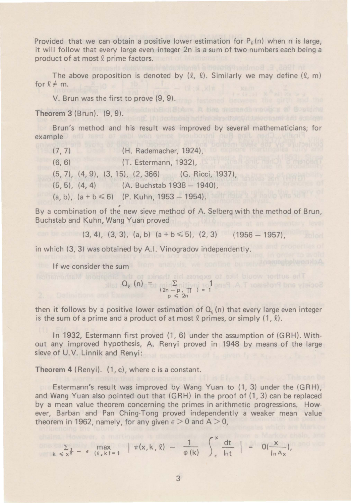Provided that we can obtain a positive lower estimation for  $P_{\varrho}(n)$  when n is large, it will follow that every large even integer 2n is a sum of two numbers each being a product of at most  $\ell$  prime factors.

The above proposition is denoted by  $(\ell, \ell)$ . Similarly we may define  $(\ell, m)$ for  $l \neq m$ .

V. Brun was the first to prove (9, 9).

**Theorem 3** (Brun). (9, 9).

Brun's method and his result was improved by several mathematicians; for example

(7, 7) (H. Rademacher, 1924), (6, 6) (T. Estermann, 1932), (5, 7), (4, 9), (3, 15), (2, 366) (G. Ricci, 1937), (5, 5), (4, 4) (A. Buchstab 1938- 1940),  $(a, b)$ ,  $(a + b \le 6)$  (P. Kuhn, 1953 - 1954).

. By a combination of the new sieve method of A. Selberg with the method of Brun, Buchstab and Kuhn, Wang Yuan proved

(3, 4), (3, 3), (a, b) (a + b  $\leq$  5), (2, 3) (1956 - 1957),

in which (3, 3) was obtained by A.I. Vinogradov independently.

If we consider the sum

$$
Q_{\varrho} (n) = \sum_{\substack{(2n-p, \pi) \\ p \; \leq \; 2n}} 1
$$

then it follows by a positive lower estimation of  $Q_0(n)$  that every large even integer is the sum of a prime and a product of at most  $\ell$  primes, or simply  $(1, \ell)$ .

In 1932, Estermann first proved (1, 6) under the assumption of (GRH). Without any improved hypothesis, A. Renyi proved in 1948 by means of the large sieve of U.V. Linnik and Renyi:

**Theorem 4** (Renyi). (1, c), where cis a constant.

Estermann's result was improved by Wang Yuan to (1, 3) under the (GRH), and Wang Yuan also pointed out that (GRH) in the proof of (1, 3) can be replaced by a mean value theorem concerning the primes in arithmetic progressions. However, Barban and Pan Ching-Tong proved independently a weaker mean value theorem in 1962, namely, for any given  $\epsilon > 0$  and A  $> 0$ ,

$$
\sum_{k \le x^{\frac{3}{\delta}} - \epsilon} \max_{(\ell,k) = 1} \left| \pi(x,k,\ell) - \frac{1}{\phi(k)} \right|_{\epsilon}^x \frac{dt}{\ln t} = 0(\frac{x}{\ln A_x}),
$$